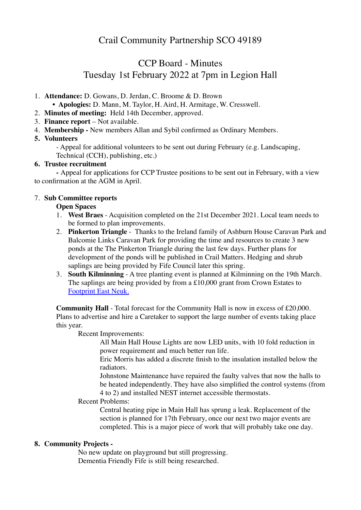# CCP Board - Minutes Tuesday 1st February 2022 at 7pm in Legion Hall

- 1. **Attendance:** D. Gowans, D. Jerdan, C. Broome & D. Brown
	- **Apologies:** D. Mann, M. Taylor, H. Aird, H. Armitage, W. Cresswell.
- 2. **Minutes of meeting:** Held 14th December, approved.
- 3. **Finance report**  Not available.
- 4. **Membership** New members Allan and Sybil confirmed as Ordinary Members.

## **5. Volunteers**

- Appeal for additional volunteers to be sent out during February (e.g. Landscaping, Technical (CCH), publishing, etc.)

## **6. Trustee recruitment**

**-** Appeal for applications for CCP Trustee positions to be sent out in February, with a view to confirmation at the AGM in April.

## 7. **Sub Committee reports**

## **Open Spaces**

- 1. **West Braes**  Acquisition completed on the 21st December 2021. Local team needs to be formed to plan improvements.
- 2. **Pinkerton Triangle** Thanks to the Ireland family of Ashburn House Caravan Park and Balcomie Links Caravan Park for providing the time and resources to create 3 new ponds at the The Pinkerton Triangle during the last few days. Further plans for development of the ponds will be published in Crail Matters. Hedging and shrub saplings are being provided by Fife Council later this spring.
- 3. **South Kilminning** A tree planting event is planned at Kilminning on the 19th March. The saplings are being provided by from a £10,000 grant from Crown Estates to [Footprint East Neuk.](https://www.footprinteastneuk.com)

**Community Hall** - Total forecast for the Community Hall is now in excess of £20,000. Plans to advertise and hire a Caretaker to support the large number of events taking place this year.

Recent Improvements:

All Main Hall House Lights are now LED units, with 10 fold reduction in power requirement and much better run life.

Eric Morris has added a discrete finish to the insulation installed below the radiators.

Johnstone Maintenance have repaired the faulty valves that now the halls to be heated independently. They have also simplified the control systems (from 4 to 2) and installed NEST internet accessible thermostats.

## Recent Problems:

Central heating pipe in Main Hall has sprung a leak. Replacement of the section is planned for 17th February, once our next two major events are completed. This is a major piece of work that will probably take one day.

## **8. Community Projects -**

No new update on playground but still progressing. Dementia Friendly Fife is still being researched.